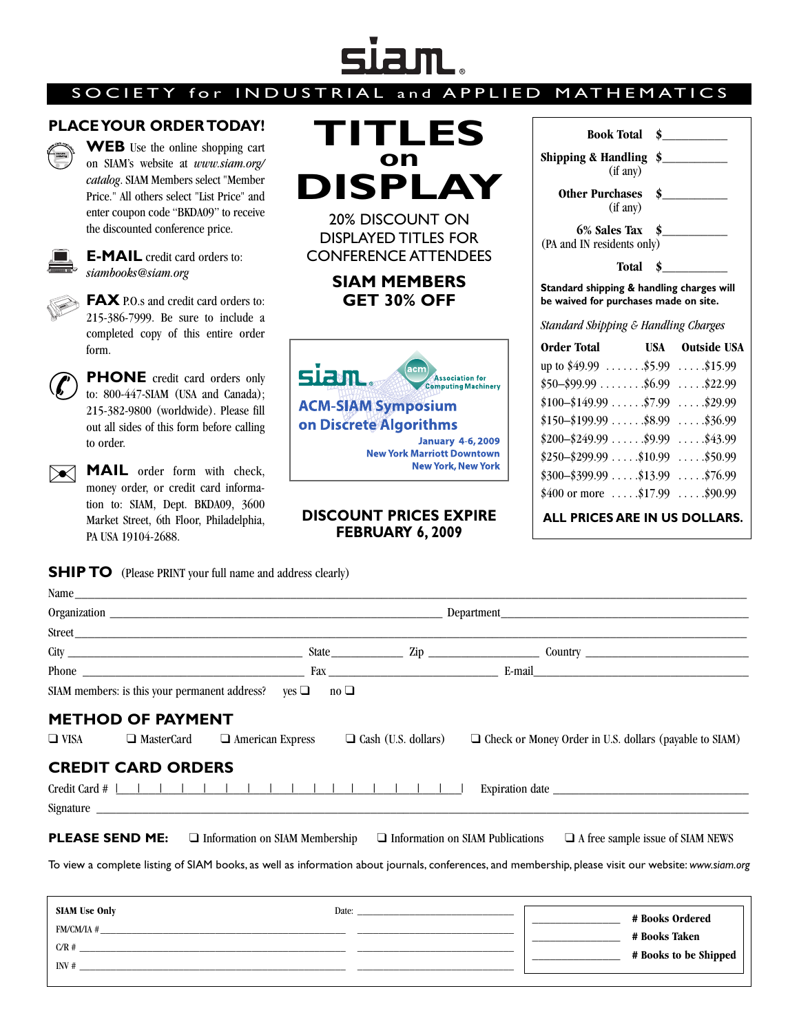## **SJAM.**

## SOCIETY for INDUSTRIAL

## **PLACE YOUR ORDER TODAY!**



**WEB** Use the online shopping cart on SIAM's website at *www.siam.org/ catalog*. SIAM Members select "Member Price." All others select "List Price" and enter coupon code "BKDA09" to receive the discounted conference price.



**E-MAIL** credit card orders to: *siambooks@siam.org*



**FAX** P.O.s and credit card orders to: 215-386-7999. Be sure to include a completed copy of this entire order form.



**PHONE** credit card orders only to: 800-447-SIAM (USA and Canada); 215-382-9800 (worldwide). Please fill out all sides of this form before calling to order.

**MAIL** order form with check, money order, or credit card information to: SIAM, Dept. BKDA09, 3600 Market Street, 6th Floor, Philadelphia, PA USA 19104-2688.  $\boxtimes$ 

## **SHIP TO** (Please PRINT your full name and address clearly)

| STRIAL and APPLIED MATHEMATICS                                                                                       |                                                                                                                   |                             |  |  |  |
|----------------------------------------------------------------------------------------------------------------------|-------------------------------------------------------------------------------------------------------------------|-----------------------------|--|--|--|
| TITLES                                                                                                               | <b>Book Total</b>                                                                                                 | $\sim$                      |  |  |  |
| on                                                                                                                   | Shipping & Handling $\frac{1}{2}$<br>(if any)                                                                     |                             |  |  |  |
| DISPLAY                                                                                                              | (if any)                                                                                                          | Other Purchases \$          |  |  |  |
| <b>20% DISCOUNT ON</b><br><b>DISPLAYED TITLES FOR</b><br><b>CONFERENCE ATTENDEES</b>                                 | 6% Sales Tax \$<br>(PA and IN residents only)                                                                     |                             |  |  |  |
| <b>SIAM MEMBERS</b><br><b>GET 30% OFF</b>                                                                            | $\sim$<br>Total<br>Standard shipping & handling charges will<br>be waived for purchases made on site.             |                             |  |  |  |
|                                                                                                                      | <b>Standard Shipping &amp; Handling Charges</b>                                                                   |                             |  |  |  |
| acm<br><b>SL&amp;NL</b><br><b>Association for</b>                                                                    | up to $$49.99$ \$5.99 \$15.99                                                                                     | Order Total USA Outside USA |  |  |  |
| <b>Computing Machinery</b><br><b>ACM-SIAM Symposium</b>                                                              | $$50-\$99.99$ $$6.99$ \$22.99<br>$$100 - $149.99 \ldots$ $$7.99 \ldots$ $$29.99$<br>$$150-\$199.99$ \$8.99\$36.99 |                             |  |  |  |
| on Discrete Algorithms<br><b>January 4-6, 2009</b><br><b>New York Marriott Downtown</b><br><b>New York, New York</b> | $$200-\$249.99$ \$9.99 \$43.99<br>$$250-\$299.99$ \$10.99\$50.99<br>$$300-\$399.99$ \$13.99\$76.99                |                             |  |  |  |

 $$400$  or more  $\dots$  .  $$17.99$   $\dots$  .  $$90.99$ **ALL PRICES ARE IN US DOLLARS.**

**DISCOUNT PRICES EXPIRE FEBRUARY 6, 2009**

| Name                                                                                                                                                 |  |                                         |  |                                                               |  |
|------------------------------------------------------------------------------------------------------------------------------------------------------|--|-----------------------------------------|--|---------------------------------------------------------------|--|
|                                                                                                                                                      |  |                                         |  |                                                               |  |
|                                                                                                                                                      |  |                                         |  |                                                               |  |
|                                                                                                                                                      |  |                                         |  |                                                               |  |
|                                                                                                                                                      |  |                                         |  |                                                               |  |
| SIAM members: is this your permanent address? yes $\Box$ no $\Box$                                                                                   |  |                                         |  |                                                               |  |
| <b>METHOD OF PAYMENT</b><br>$\Box$ American Express<br>$\Box$ VISA<br>$\Box$ MasterCard                                                              |  | $\Box$ Cash (U.S. dollars)              |  | $\Box$ Check or Money Order in U.S. dollars (payable to SIAM) |  |
| <b>CREDIT CARD ORDERS</b>                                                                                                                            |  |                                         |  |                                                               |  |
|                                                                                                                                                      |  |                                         |  |                                                               |  |
| <b>PLEASE SEND ME:</b><br>$\Box$ Information on SIAM Membership                                                                                      |  | $\Box$ Information on SIAM Publications |  | $\Box$ A free sample issue of SIAM NEWS                       |  |
| To view a complete listing of SIAM books, as well as information about journals, conferences, and membership, please visit our website: www.siam.org |  |                                         |  |                                                               |  |
|                                                                                                                                                      |  |                                         |  |                                                               |  |
| <b>SIAM Use Only</b>                                                                                                                                 |  |                                         |  | # Books Ordered                                               |  |
| FM/CM/IA $\#$                                                                                                                                        |  |                                         |  | # Books Taken                                                 |  |

 $C/R \; \# \; \underline{\hspace{2cm}}$ INV #  $\Box$  **\_\_\_\_\_\_\_\_\_\_\_\_\_\_\_ # Books to be Shipped**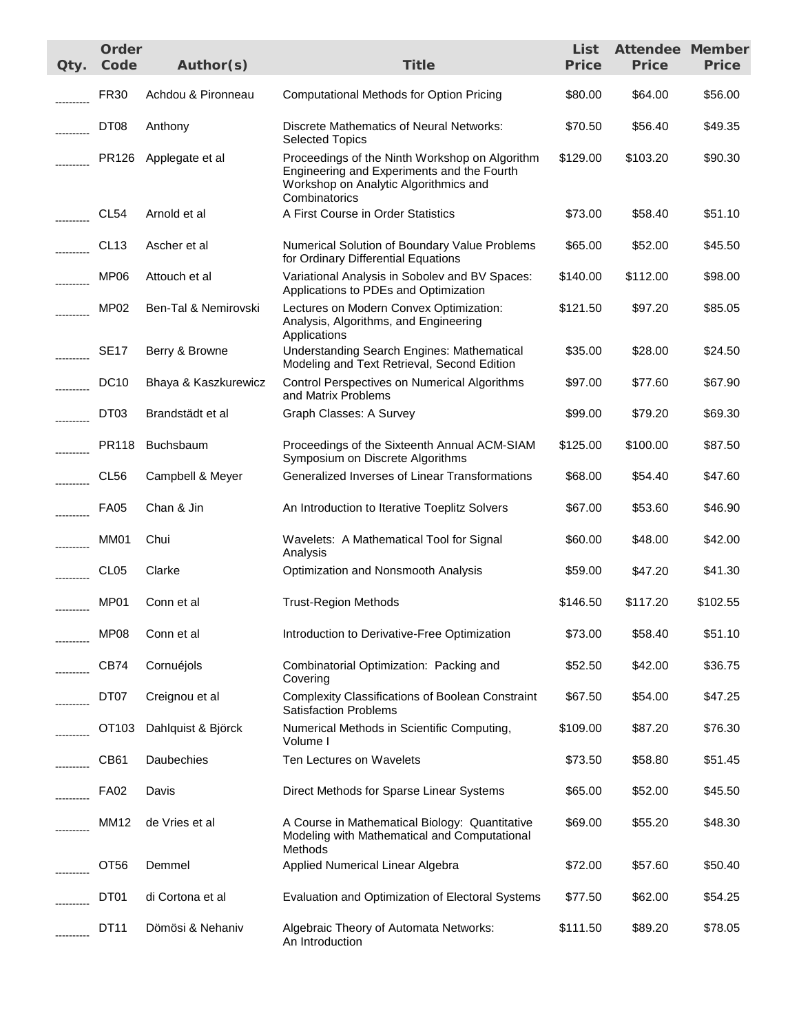| Qty.     | Order<br>Code     | Author(s)            | <b>Title</b>                                                                                                                                           | List<br><b>Price</b> | <b>Attendee Member</b><br><b>Price</b> | <b>Price</b> |
|----------|-------------------|----------------------|--------------------------------------------------------------------------------------------------------------------------------------------------------|----------------------|----------------------------------------|--------------|
|          | <b>FR30</b>       | Achdou & Pironneau   | <b>Computational Methods for Option Pricing</b>                                                                                                        | \$80.00              | \$64.00                                | \$56.00      |
|          | DT <sub>08</sub>  | Anthony              | <b>Discrete Mathematics of Neural Networks:</b><br><b>Selected Topics</b>                                                                              | \$70.50              | \$56.40                                | \$49.35      |
|          | PR126             | Applegate et al      | Proceedings of the Ninth Workshop on Algorithm<br>Engineering and Experiments and the Fourth<br>Workshop on Analytic Algorithmics and<br>Combinatorics | \$129.00             | \$103.20                               | \$90.30      |
|          | CL54              | Arnold et al         | A First Course in Order Statistics                                                                                                                     | \$73.00              | \$58.40                                | \$51.10      |
|          | CL <sub>13</sub>  | Ascher et al         | Numerical Solution of Boundary Value Problems<br>for Ordinary Differential Equations                                                                   | \$65.00              | \$52.00                                | \$45.50      |
| .        | MP06              | Attouch et al        | Variational Analysis in Sobolev and BV Spaces:<br>Applications to PDEs and Optimization                                                                | \$140.00             | \$112.00                               | \$98.00      |
|          | MP <sub>02</sub>  | Ben-Tal & Nemirovski | Lectures on Modern Convex Optimization:<br>Analysis, Algorithms, and Engineering<br>Applications                                                       | \$121.50             | \$97.20                                | \$85.05      |
|          | <b>SE17</b>       | Berry & Browne       | <b>Understanding Search Engines: Mathematical</b><br>Modeling and Text Retrieval, Second Edition                                                       | \$35.00              | \$28.00                                | \$24.50      |
|          | <b>DC10</b>       | Bhaya & Kaszkurewicz | Control Perspectives on Numerical Algorithms<br>and Matrix Problems                                                                                    | \$97.00              | \$77.60                                | \$67.90      |
| -------- | DT03              | Brandstädt et al     | Graph Classes: A Survey                                                                                                                                | \$99.00              | \$79.20                                | \$69.30      |
| -------- | PR118             | Buchsbaum            | Proceedings of the Sixteenth Annual ACM-SIAM<br>Symposium on Discrete Algorithms                                                                       | \$125.00             | \$100.00                               | \$87.50      |
| -------- | CL <sub>56</sub>  | Campbell & Meyer     | Generalized Inverses of Linear Transformations                                                                                                         | \$68.00              | \$54.40                                | \$47.60      |
| -------- | <b>FA05</b>       | Chan & Jin           | An Introduction to Iterative Toeplitz Solvers                                                                                                          | \$67.00              | \$53.60                                | \$46.90      |
|          | MM01              | Chui                 | Wavelets: A Mathematical Tool for Signal<br>Analysis                                                                                                   | \$60.00              | \$48.00                                | \$42.00      |
|          | CL <sub>05</sub>  | Clarke               | Optimization and Nonsmooth Analysis                                                                                                                    | \$59.00              | \$47.20                                | \$41.30      |
|          | MP01              | Conn et al           | <b>Trust-Region Methods</b>                                                                                                                            | \$146.50             | \$117.20                               | \$102.55     |
|          | MP <sub>08</sub>  | Conn et al           | Introduction to Derivative-Free Optimization                                                                                                           | \$73.00              | \$58.40                                | \$51.10      |
|          | CB74              | Cornuéjols           | Combinatorial Optimization: Packing and<br>Covering                                                                                                    | \$52.50              | \$42.00                                | \$36.75      |
|          | DT07              | Creignou et al       | <b>Complexity Classifications of Boolean Constraint</b><br><b>Satisfaction Problems</b>                                                                | \$67.50              | \$54.00                                | \$47.25      |
|          | OT <sub>103</sub> | Dahlquist & Björck   | Numerical Methods in Scientific Computing,<br>Volume I                                                                                                 | \$109.00             | \$87.20                                | \$76.30      |
|          | CB <sub>61</sub>  | Daubechies           | Ten Lectures on Wavelets                                                                                                                               | \$73.50              | \$58.80                                | \$51.45      |
|          | <b>FA02</b>       | Davis                | Direct Methods for Sparse Linear Systems                                                                                                               | \$65.00              | \$52.00                                | \$45.50      |
|          | <b>MM12</b>       | de Vries et al       | A Course in Mathematical Biology: Quantitative<br>Modeling with Mathematical and Computational<br>Methods                                              | \$69.00              | \$55.20                                | \$48.30      |
|          | OT <sub>56</sub>  | Demmel               | Applied Numerical Linear Algebra                                                                                                                       | \$72.00              | \$57.60                                | \$50.40      |
|          | DT01              | di Cortona et al     | Evaluation and Optimization of Electoral Systems                                                                                                       | \$77.50              | \$62.00                                | \$54.25      |
|          | DT11              | Dömösi & Nehaniv     | Algebraic Theory of Automata Networks:<br>An Introduction                                                                                              | \$111.50             | \$89.20                                | \$78.05      |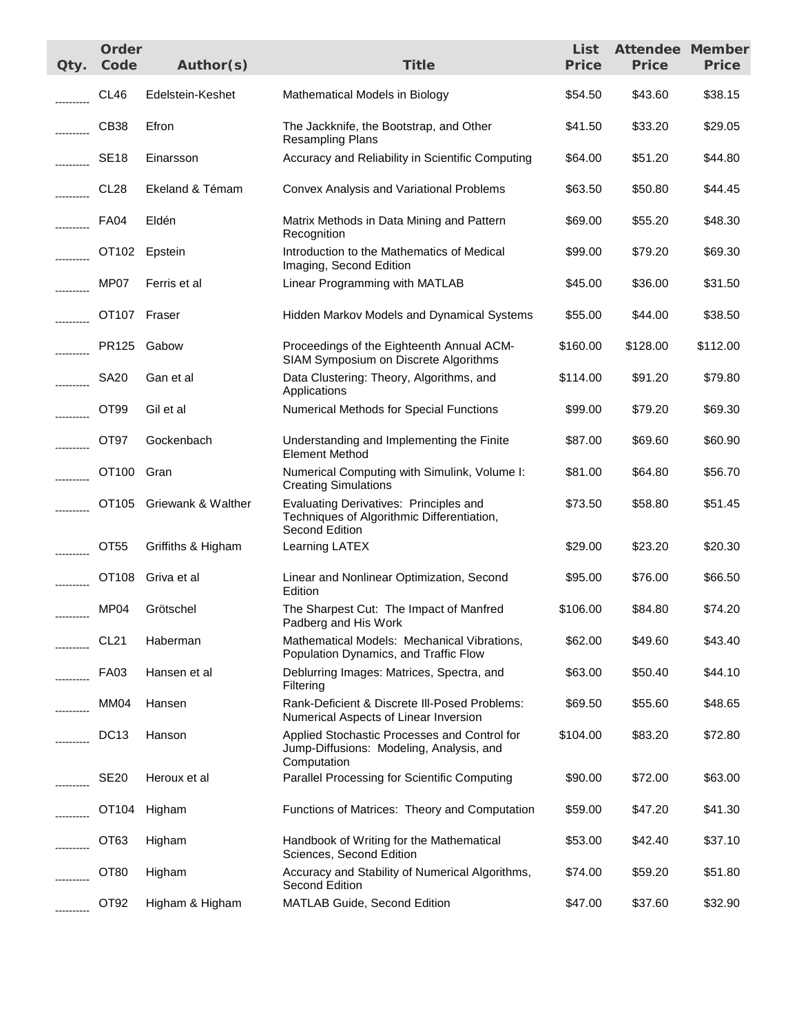| Qty.       | Order<br>Code    | Author(s)                | <b>Title</b>                                                                                            | List<br><b>Price</b> | <b>Attendee Member</b><br><b>Price</b> | <b>Price</b> |
|------------|------------------|--------------------------|---------------------------------------------------------------------------------------------------------|----------------------|----------------------------------------|--------------|
|            | CL46             | Edelstein-Keshet         | Mathematical Models in Biology                                                                          | \$54.50              | \$43.60                                | \$38.15      |
|            | CB38             | Efron                    | The Jackknife, the Bootstrap, and Other<br><b>Resampling Plans</b>                                      | \$41.50              | \$33.20                                | \$29.05      |
|            | <b>SE18</b>      | Einarsson                | Accuracy and Reliability in Scientific Computing                                                        | \$64.00              | \$51.20                                | \$44.80      |
|            | CL <sub>28</sub> | Ekeland & Témam          | Convex Analysis and Variational Problems                                                                | \$63.50              | \$50.80                                | \$44.45      |
|            | FA04             | Eldén                    | Matrix Methods in Data Mining and Pattern<br>Recognition                                                | \$69.00              | \$55.20                                | \$48.30      |
|            |                  | OT102 Epstein            | Introduction to the Mathematics of Medical<br>Imaging, Second Edition                                   | \$99.00              | \$79.20                                | \$69.30      |
|            | MP07             | Ferris et al             | Linear Programming with MATLAB                                                                          | \$45.00              | \$36.00                                | \$31.50      |
|            | OT107 Fraser     |                          | Hidden Markov Models and Dynamical Systems                                                              | \$55.00              | \$44.00                                | \$38.50      |
|            |                  | PR125 Gabow              | Proceedings of the Eighteenth Annual ACM-<br>SIAM Symposium on Discrete Algorithms                      | \$160.00             | \$128.00                               | \$112.00     |
|            | <b>SA20</b>      | Gan et al                | Data Clustering: Theory, Algorithms, and<br>Applications                                                | \$114.00             | \$91.20                                | \$79.80      |
|            | OT <sub>99</sub> | Gil et al                | Numerical Methods for Special Functions                                                                 | \$99.00              | \$79.20                                | \$69.30      |
|            | OT97             | Gockenbach               | Understanding and Implementing the Finite<br><b>Element Method</b>                                      | \$87.00              | \$69.60                                | \$60.90      |
|            | OT100 Gran       |                          | Numerical Computing with Simulink, Volume I:<br><b>Creating Simulations</b>                             | \$81.00              | \$64.80                                | \$56.70      |
|            |                  | OT105 Griewank & Walther | Evaluating Derivatives: Principles and<br>Techniques of Algorithmic Differentiation,<br>Second Edition  | \$73.50              | \$58.80                                | \$51.45      |
|            | OT <sub>55</sub> | Griffiths & Higham       | Learning LATEX                                                                                          | \$29.00              | \$23.20                                | \$20.30      |
|            |                  | OT108 Griva et al        | Linear and Nonlinear Optimization, Second<br>Edition                                                    | \$95.00              | \$76.00                                | \$66.50      |
| ---------- | MP04             | Grötschel                | The Sharpest Cut: The Impact of Manfred<br>Padberg and His Work                                         | \$106.00             | \$84.80                                | \$74.20      |
|            | <b>CL21</b>      | Haberman                 | Mathematical Models: Mechanical Vibrations,<br>Population Dynamics, and Traffic Flow                    | \$62.00              | \$49.60                                | \$43.40      |
|            | <b>FA03</b>      | Hansen et al             | Deblurring Images: Matrices, Spectra, and<br>Filtering                                                  | \$63.00              | \$50.40                                | \$44.10      |
|            | MM04             | Hansen                   | Rank-Deficient & Discrete III-Posed Problems:<br>Numerical Aspects of Linear Inversion                  | \$69.50              | \$55.60                                | \$48.65      |
|            | <b>DC13</b>      | Hanson                   | Applied Stochastic Processes and Control for<br>Jump-Diffusions: Modeling, Analysis, and<br>Computation | \$104.00             | \$83.20                                | \$72.80      |
|            | SE <sub>20</sub> | Heroux et al             | Parallel Processing for Scientific Computing                                                            | \$90.00              | \$72.00                                | \$63.00      |
|            | OT104            | Higham                   | Functions of Matrices: Theory and Computation                                                           | \$59.00              | \$47.20                                | \$41.30      |
|            | OT <sub>63</sub> | Higham                   | Handbook of Writing for the Mathematical<br>Sciences, Second Edition                                    | \$53.00              | \$42.40                                | \$37.10      |
|            | OT <sub>80</sub> | Higham                   | Accuracy and Stability of Numerical Algorithms,<br>Second Edition                                       | \$74.00              | \$59.20                                | \$51.80      |
| ---------- | OT <sub>92</sub> | Higham & Higham          | MATLAB Guide, Second Edition                                                                            | \$47.00              | \$37.60                                | \$32.90      |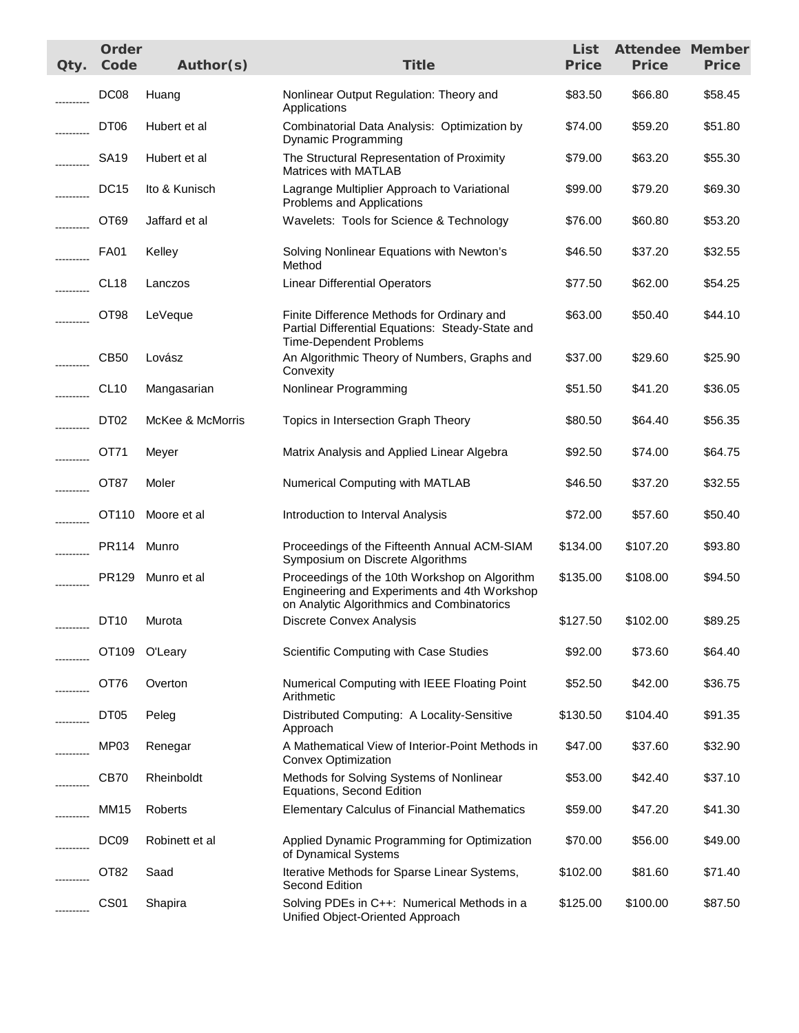| Qty.       | Order<br>Code    | Author(s)         | <b>Title</b>                                                                                                                                | List<br><b>Price</b> | <b>Attendee Member</b><br><b>Price</b> | <b>Price</b> |
|------------|------------------|-------------------|---------------------------------------------------------------------------------------------------------------------------------------------|----------------------|----------------------------------------|--------------|
|            | DC <sub>08</sub> | Huang             | Nonlinear Output Regulation: Theory and<br>Applications                                                                                     | \$83.50              | \$66.80                                | \$58.45      |
|            | DT <sub>06</sub> | Hubert et al      | Combinatorial Data Analysis: Optimization by<br>Dynamic Programming                                                                         | \$74.00              | \$59.20                                | \$51.80      |
|            | SA <sub>19</sub> | Hubert et al      | The Structural Representation of Proximity<br>Matrices with MATLAB                                                                          | \$79.00              | \$63.20                                | \$55.30      |
|            | <b>DC15</b>      | Ito & Kunisch     | Lagrange Multiplier Approach to Variational<br>Problems and Applications                                                                    | \$99.00              | \$79.20                                | \$69.30      |
|            | OT <sub>69</sub> | Jaffard et al     | Wavelets: Tools for Science & Technology                                                                                                    | \$76.00              | \$60.80                                | \$53.20      |
|            | <b>FA01</b>      | Kelley            | Solving Nonlinear Equations with Newton's<br>Method                                                                                         | \$46.50              | \$37.20                                | \$32.55      |
|            | CL <sub>18</sub> | Lanczos           | <b>Linear Differential Operators</b>                                                                                                        | \$77.50              | \$62.00                                | \$54.25      |
|            | OT98             | LeVeque           | Finite Difference Methods for Ordinary and<br>Partial Differential Equations: Steady-State and<br><b>Time-Dependent Problems</b>            | \$63.00              | \$50.40                                | \$44.10      |
|            | CB50             | Lovász            | An Algorithmic Theory of Numbers, Graphs and<br>Convexity                                                                                   | \$37.00              | \$29.60                                | \$25.90      |
| .          | <b>CL10</b>      | Mangasarian       | Nonlinear Programming                                                                                                                       | \$51.50              | \$41.20                                | \$36.05      |
|            | DT02             | McKee & McMorris  | Topics in Intersection Graph Theory                                                                                                         | \$80.50              | \$64.40                                | \$56.35      |
|            | OT71             | Meyer             | Matrix Analysis and Applied Linear Algebra                                                                                                  | \$92.50              | \$74.00                                | \$64.75      |
| ---------- | OT87             | Moler             | Numerical Computing with MATLAB                                                                                                             | \$46.50              | \$37.20                                | \$32.55      |
| ---------- |                  | OT110 Moore et al | Introduction to Interval Analysis                                                                                                           | \$72.00              | \$57.60                                | \$50.40      |
| ---------- | PR114 Munro      |                   | Proceedings of the Fifteenth Annual ACM-SIAM<br>Symposium on Discrete Algorithms                                                            | \$134.00             | \$107.20                               | \$93.80      |
|            |                  | PR129 Munro et al | Proceedings of the 10th Workshop on Algorithm<br>Engineering and Experiments and 4th Workshop<br>on Analytic Algorithmics and Combinatorics | \$135.00             | \$108.00                               | \$94.50      |
|            | DT <sub>10</sub> | Murota            | Discrete Convex Analysis                                                                                                                    | \$127.50             | \$102.00                               | \$89.25      |
|            | OT109            | O'Leary           | Scientific Computing with Case Studies                                                                                                      | \$92.00              | \$73.60                                | \$64.40      |
|            | OT76             | Overton           | Numerical Computing with IEEE Floating Point<br>Arithmetic                                                                                  | \$52.50              | \$42.00                                | \$36.75      |
|            | DT <sub>05</sub> | Peleg             | Distributed Computing: A Locality-Sensitive<br>Approach                                                                                     | \$130.50             | \$104.40                               | \$91.35      |
|            | MP03             | Renegar           | A Mathematical View of Interior-Point Methods in<br>Convex Optimization                                                                     | \$47.00              | \$37.60                                | \$32.90      |
|            | CB70             | Rheinboldt        | Methods for Solving Systems of Nonlinear<br>Equations, Second Edition                                                                       | \$53.00              | \$42.40                                | \$37.10      |
|            | MM15             | Roberts           | <b>Elementary Calculus of Financial Mathematics</b>                                                                                         | \$59.00              | \$47.20                                | \$41.30      |
|            | DC <sub>09</sub> | Robinett et al    | Applied Dynamic Programming for Optimization<br>of Dynamical Systems                                                                        | \$70.00              | \$56.00                                | \$49.00      |
|            | OT <sub>82</sub> | Saad              | Iterative Methods for Sparse Linear Systems,<br><b>Second Edition</b>                                                                       | \$102.00             | \$81.60                                | \$71.40      |
|            | <b>CS01</b>      | Shapira           | Solving PDEs in C++: Numerical Methods in a<br>Unified Object-Oriented Approach                                                             | \$125.00             | \$100.00                               | \$87.50      |